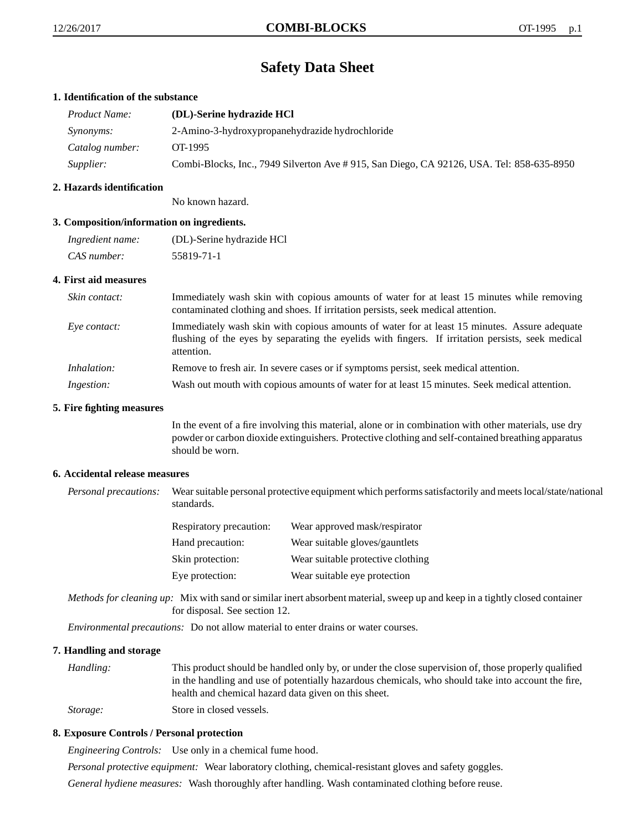# **Safety Data Sheet**

# **1. Identification of the substance**

| <b>Product Name:</b> | (DL)-Serine hydrazide HCl                                                                 |
|----------------------|-------------------------------------------------------------------------------------------|
| <i>Synonyms:</i>     | 2-Amino-3-hydroxypropanehydrazide hydrochloride                                           |
| Catalog number:      | OT-1995                                                                                   |
| Supplier:            | Combi-Blocks, Inc., 7949 Silverton Ave # 915, San Diego, CA 92126, USA. Tel: 858-635-8950 |

# **2. Hazards identification**

No known hazard.

# **3. Composition/information on ingredients.**

| Ingredient name: | (DL)-Serine hydrazide HCl |
|------------------|---------------------------|
| CAS number:      | 55819-71-1                |

#### **4. First aid measures**

| Skin contact:     | Immediately wash skin with copious amounts of water for at least 15 minutes while removing<br>contaminated clothing and shoes. If irritation persists, seek medical attention.                                  |
|-------------------|-----------------------------------------------------------------------------------------------------------------------------------------------------------------------------------------------------------------|
| Eve contact:      | Immediately wash skin with copious amounts of water for at least 15 minutes. Assure adequate<br>flushing of the eyes by separating the eyelids with fingers. If irritation persists, seek medical<br>attention. |
| Inhalation:       | Remove to fresh air. In severe cases or if symptoms persist, seek medical attention.                                                                                                                            |
| <i>Ingestion:</i> | Wash out mouth with copious amounts of water for at least 15 minutes. Seek medical attention.                                                                                                                   |

#### **5. Fire fighting measures**

In the event of a fire involving this material, alone or in combination with other materials, use dry powder or carbon dioxide extinguishers. Protective clothing and self-contained breathing apparatus should be worn.

#### **6. Accidental release measures**

*Personal precautions:* Wear suitable personal protective equipment which performs satisfactorily and meets local/state/national standards.

| <b>Respiratory precaution:</b> | Wear approved mask/respirator     |
|--------------------------------|-----------------------------------|
| Hand precaution:               | Wear suitable gloves/gauntlets    |
| Skin protection:               | Wear suitable protective clothing |
| Eye protection:                | Wear suitable eye protection      |

*Methods for cleaning up:* Mix with sand or similar inert absorbent material, sweep up and keep in a tightly closed container for disposal. See section 12.

*Environmental precautions:* Do not allow material to enter drains or water courses.

#### **7. Handling and storage**

*Handling:* This product should be handled only by, or under the close supervision of, those properly qualified in the handling and use of potentially hazardous chemicals, who should take into account the fire, health and chemical hazard data given on this sheet. *Storage:* Store in closed vessels.

# **8. Exposure Controls / Personal protection**

*Engineering Controls:* Use only in a chemical fume hood.

*Personal protective equipment:* Wear laboratory clothing, chemical-resistant gloves and safety goggles.

*General hydiene measures:* Wash thoroughly after handling. Wash contaminated clothing before reuse.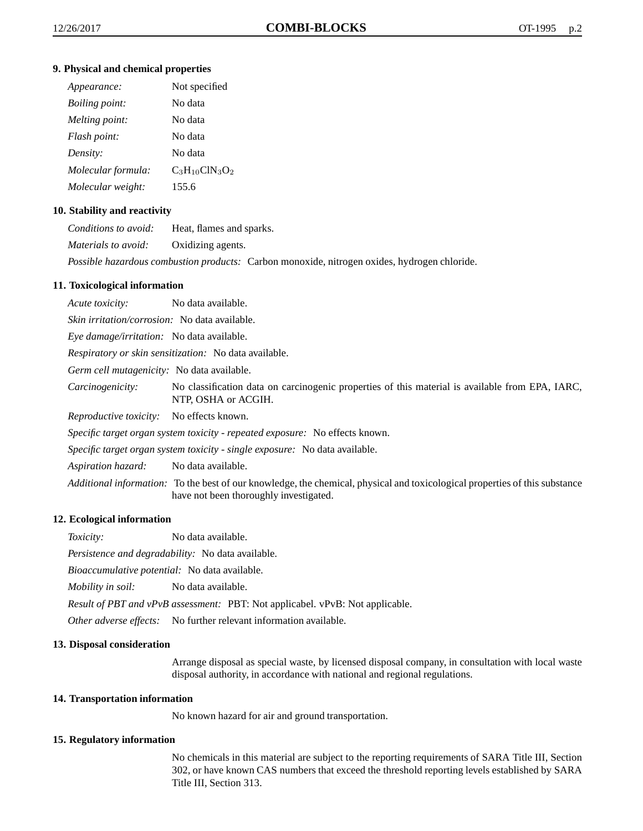#### **9. Physical and chemical properties**

| Appearance:           | Not specified       |
|-----------------------|---------------------|
| <i>Boiling point:</i> | No data             |
| Melting point:        | No data             |
| Flash point:          | No data             |
| Density:              | No data             |
| Molecular formula:    | $C_3H_{10}CIN_3O_2$ |
| Molecular weight:     | 155.6               |

# **10. Stability and reactivity**

| Conditions to avoid:       | Heat, flames and sparks.                                                                            |
|----------------------------|-----------------------------------------------------------------------------------------------------|
| <i>Materials to avoid:</i> | Oxidizing agents.                                                                                   |
|                            | <i>Possible hazardous combustion products:</i> Carbon monoxide, nitrogen oxides, hydrogen chloride. |

# **11. Toxicological information**

*Acute toxicity:* No data available. *Skin irritation/corrosion:* No data available. *Eye damage/irritation:* No data available. *Respiratory or skin sensitization:* No data available. *Germ cell mutagenicity:* No data available. *Carcinogenicity:* No classification data on carcinogenic properties of this material is available from EPA, IARC, NTP, OSHA or ACGIH. *Reproductive toxicity:* No effects known. *Specific target organ system toxicity - repeated exposure:* No effects known. *Specific target organ system toxicity - single exposure:* No data available. *Aspiration hazard:* No data available. *Additional information:* To the best of our knowledge, the chemical, physical and toxicological properties of this substance have not been thoroughly investigated.

#### **12. Ecological information**

*Toxicity:* No data available.

*Persistence and degradability:* No data available.

*Bioaccumulative potential:* No data available.

*Mobility in soil:* No data available.

*Result of PBT and vPvB assessment:* PBT: Not applicabel. vPvB: Not applicable.

*Other adverse effects:* No further relevant information available.

#### **13. Disposal consideration**

Arrange disposal as special waste, by licensed disposal company, in consultation with local waste disposal authority, in accordance with national and regional regulations.

#### **14. Transportation information**

No known hazard for air and ground transportation.

#### **15. Regulatory information**

No chemicals in this material are subject to the reporting requirements of SARA Title III, Section 302, or have known CAS numbers that exceed the threshold reporting levels established by SARA Title III, Section 313.